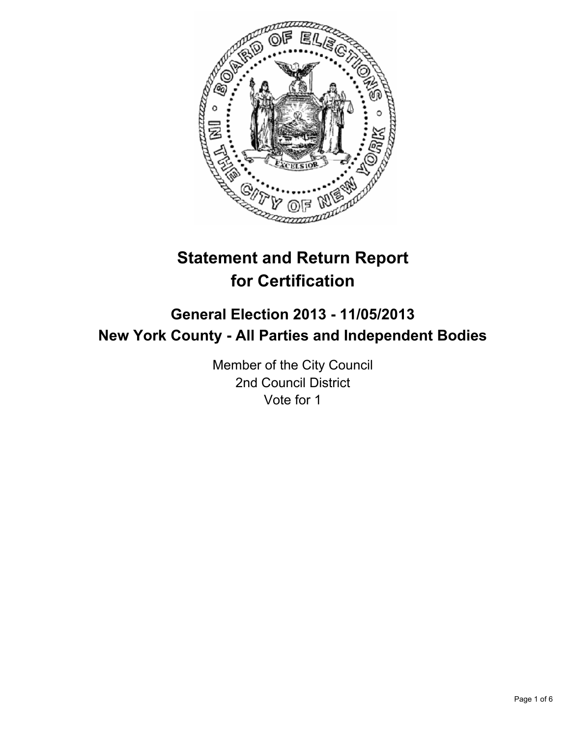

# **Statement and Return Report for Certification**

## **General Election 2013 - 11/05/2013 New York County - All Parties and Independent Bodies**

Member of the City Council 2nd Council District Vote for 1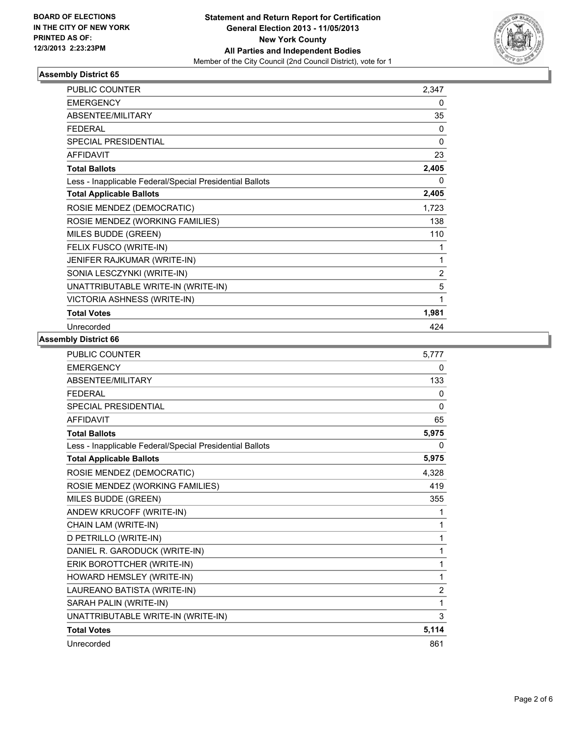

#### **Assembly District 65**

| PUBLIC COUNTER                                           | 2,347          |
|----------------------------------------------------------|----------------|
| <b>EMERGENCY</b>                                         | $\mathbf{0}$   |
| ABSENTEE/MILITARY                                        | 35             |
| <b>FEDERAL</b>                                           | $\Omega$       |
| <b>SPECIAL PRESIDENTIAL</b>                              | 0              |
| <b>AFFIDAVIT</b>                                         | 23             |
| <b>Total Ballots</b>                                     | 2,405          |
| Less - Inapplicable Federal/Special Presidential Ballots | 0              |
| <b>Total Applicable Ballots</b>                          | 2,405          |
| ROSIE MENDEZ (DEMOCRATIC)                                | 1,723          |
| ROSIE MENDEZ (WORKING FAMILIES)                          | 138            |
| MILES BUDDE (GREEN)                                      | 110            |
| FELIX FUSCO (WRITE-IN)                                   | 1              |
| JENIFER RAJKUMAR (WRITE-IN)                              | 1              |
| SONIA LESCZYNKI (WRITE-IN)                               | $\overline{2}$ |
| UNATTRIBUTABLE WRITE-IN (WRITE-IN)                       | 5              |
| VICTORIA ASHNESS (WRITE-IN)                              | 1              |
| <b>Total Votes</b>                                       | 1,981          |
| Unrecorded                                               | 424            |

#### **Assembly District 66**

| <b>PUBLIC COUNTER</b>                                    | 5,777          |
|----------------------------------------------------------|----------------|
| <b>EMERGENCY</b>                                         | 0              |
| ABSENTEE/MILITARY                                        | 133            |
| <b>FEDERAL</b>                                           | 0              |
| <b>SPECIAL PRESIDENTIAL</b>                              | $\Omega$       |
| <b>AFFIDAVIT</b>                                         | 65             |
| <b>Total Ballots</b>                                     | 5,975          |
| Less - Inapplicable Federal/Special Presidential Ballots | 0              |
| <b>Total Applicable Ballots</b>                          | 5,975          |
| ROSIE MENDEZ (DEMOCRATIC)                                | 4,328          |
| ROSIE MENDEZ (WORKING FAMILIES)                          | 419            |
| MILES BUDDE (GREEN)                                      | 355            |
| ANDEW KRUCOFF (WRITE-IN)                                 | 1              |
| CHAIN LAM (WRITE-IN)                                     | 1              |
| D PETRILLO (WRITE-IN)                                    | 1              |
| DANIEL R. GARODUCK (WRITE-IN)                            | 1              |
| ERIK BOROTTCHER (WRITE-IN)                               | 1              |
| HOWARD HEMSLEY (WRITE-IN)                                | 1              |
| LAUREANO BATISTA (WRITE-IN)                              | $\overline{2}$ |
| SARAH PALIN (WRITE-IN)                                   | 1              |
| UNATTRIBUTABLE WRITE-IN (WRITE-IN)                       | 3              |
| <b>Total Votes</b>                                       | 5,114          |
| Unrecorded                                               | 861            |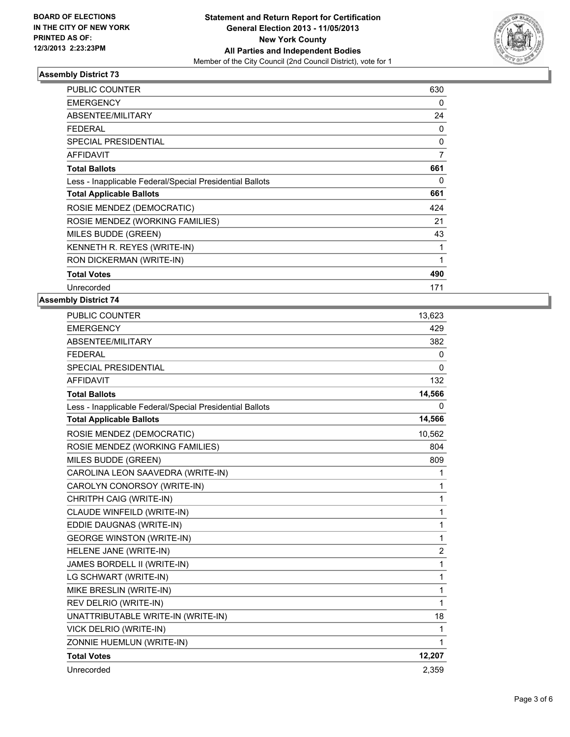

#### **Assembly District 73**

| <b>PUBLIC COUNTER</b>                                    | 630          |
|----------------------------------------------------------|--------------|
| <b>EMERGENCY</b>                                         | 0            |
| ABSENTEE/MILITARY                                        | 24           |
| <b>FEDERAL</b>                                           | 0            |
| <b>SPECIAL PRESIDENTIAL</b>                              | 0            |
| <b>AFFIDAVIT</b>                                         | 7            |
| <b>Total Ballots</b>                                     | 661          |
| Less - Inapplicable Federal/Special Presidential Ballots | 0            |
| <b>Total Applicable Ballots</b>                          | 661          |
| ROSIE MENDEZ (DEMOCRATIC)                                | 424          |
| ROSIE MENDEZ (WORKING FAMILIES)                          | 21           |
| MILES BUDDE (GREEN)                                      | 43           |
| KENNETH R. REYES (WRITE-IN)                              | 1            |
| RON DICKERMAN (WRITE-IN)                                 | $\mathbf{1}$ |
| <b>Total Votes</b>                                       | 490          |
| Unrecorded                                               | 171          |

#### **Assembly District 74**

| PUBLIC COUNTER                                           | 13,623   |
|----------------------------------------------------------|----------|
| <b>EMERGENCY</b>                                         | 429      |
| ABSENTEE/MILITARY                                        | 382      |
| <b>FEDERAL</b>                                           | 0        |
| SPECIAL PRESIDENTIAL                                     | $\Omega$ |
| <b>AFFIDAVIT</b>                                         | 132      |
| <b>Total Ballots</b>                                     | 14,566   |
| Less - Inapplicable Federal/Special Presidential Ballots | 0        |
| <b>Total Applicable Ballots</b>                          | 14,566   |
| ROSIE MENDEZ (DEMOCRATIC)                                | 10,562   |
| ROSIE MENDEZ (WORKING FAMILIES)                          | 804      |
| MILES BUDDE (GREEN)                                      | 809      |
| CAROLINA LEON SAAVEDRA (WRITE-IN)                        | 1        |
| CAROLYN CONORSOY (WRITE-IN)                              | 1        |
| CHRITPH CAIG (WRITE-IN)                                  | 1        |
| CLAUDE WINFEILD (WRITE-IN)                               | 1        |
| EDDIE DAUGNAS (WRITE-IN)                                 | 1        |
| <b>GEORGE WINSTON (WRITE-IN)</b>                         | 1        |
| HELENE JANE (WRITE-IN)                                   | 2        |
| JAMES BORDELL II (WRITE-IN)                              | 1        |
| LG SCHWART (WRITE-IN)                                    | 1        |
| MIKE BRESLIN (WRITE-IN)                                  | 1        |
| REV DELRIO (WRITE-IN)                                    | 1        |
| UNATTRIBUTABLE WRITE-IN (WRITE-IN)                       | 18       |
| VICK DELRIO (WRITE-IN)                                   | 1        |
| ZONNIE HUEMLUN (WRITE-IN)                                | 1        |
| <b>Total Votes</b>                                       | 12,207   |
| Unrecorded                                               | 2,359    |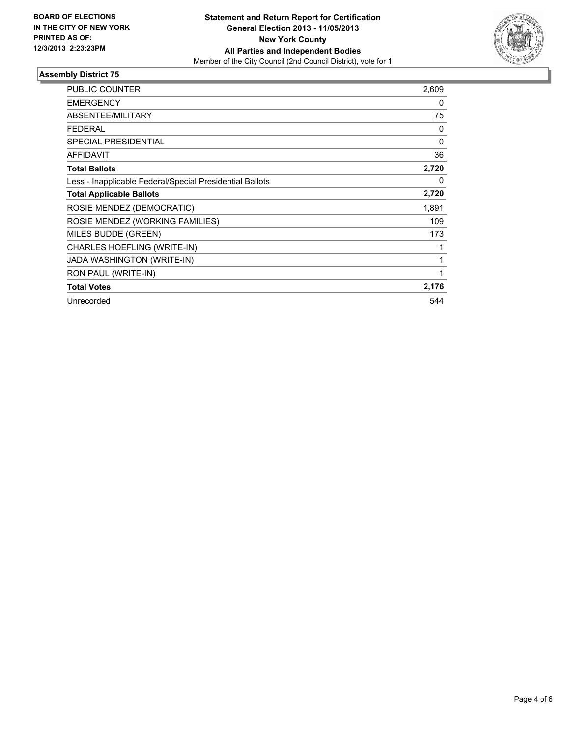

#### **Assembly District 75**

| <b>PUBLIC COUNTER</b>                                    | 2,609    |
|----------------------------------------------------------|----------|
| <b>EMERGENCY</b>                                         | 0        |
| <b>ABSENTEE/MILITARY</b>                                 | 75       |
| <b>FEDERAL</b>                                           | 0        |
| SPECIAL PRESIDENTIAL                                     | $\Omega$ |
| <b>AFFIDAVIT</b>                                         | 36       |
| <b>Total Ballots</b>                                     | 2,720    |
| Less - Inapplicable Federal/Special Presidential Ballots | 0        |
| <b>Total Applicable Ballots</b>                          | 2,720    |
| ROSIE MENDEZ (DEMOCRATIC)                                | 1,891    |
| ROSIE MENDEZ (WORKING FAMILIES)                          | 109      |
| MILES BUDDE (GREEN)                                      | 173      |
| CHARLES HOEFLING (WRITE-IN)                              |          |
| JADA WASHINGTON (WRITE-IN)                               | 1        |
| RON PAUL (WRITE-IN)                                      | 1        |
| <b>Total Votes</b>                                       | 2,176    |
| Unrecorded                                               | 544      |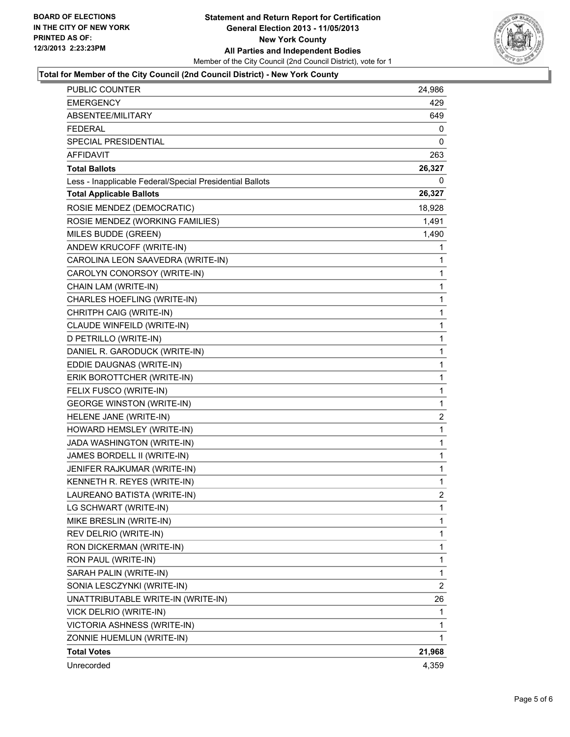

#### **Total for Member of the City Council (2nd Council District) - New York County**

| PUBLIC COUNTER                                           | 24,986         |
|----------------------------------------------------------|----------------|
| <b>EMERGENCY</b>                                         | 429            |
| ABSENTEE/MILITARY                                        | 649            |
| <b>FEDERAL</b>                                           | 0              |
| SPECIAL PRESIDENTIAL                                     | 0              |
| AFFIDAVIT                                                | 263            |
| <b>Total Ballots</b>                                     | 26,327         |
| Less - Inapplicable Federal/Special Presidential Ballots | 0              |
| <b>Total Applicable Ballots</b>                          | 26,327         |
| ROSIE MENDEZ (DEMOCRATIC)                                | 18,928         |
| ROSIE MENDEZ (WORKING FAMILIES)                          | 1,491          |
| MILES BUDDE (GREEN)                                      | 1,490          |
| ANDEW KRUCOFF (WRITE-IN)                                 | 1              |
| CAROLINA LEON SAAVEDRA (WRITE-IN)                        | 1              |
| CAROLYN CONORSOY (WRITE-IN)                              | 1              |
| CHAIN LAM (WRITE-IN)                                     | 1              |
| CHARLES HOEFLING (WRITE-IN)                              | 1              |
| CHRITPH CAIG (WRITE-IN)                                  | 1              |
| CLAUDE WINFEILD (WRITE-IN)                               | 1              |
| D PETRILLO (WRITE-IN)                                    | $\mathbf{1}$   |
| DANIEL R. GARODUCK (WRITE-IN)                            | 1              |
| EDDIE DAUGNAS (WRITE-IN)                                 | 1              |
| ERIK BOROTTCHER (WRITE-IN)                               | 1              |
| FELIX FUSCO (WRITE-IN)                                   | 1              |
| <b>GEORGE WINSTON (WRITE-IN)</b>                         | 1              |
| HELENE JANE (WRITE-IN)                                   | $\overline{c}$ |
| HOWARD HEMSLEY (WRITE-IN)                                | 1              |
| JADA WASHINGTON (WRITE-IN)                               | 1              |
| JAMES BORDELL II (WRITE-IN)                              | $\mathbf{1}$   |
| JENIFER RAJKUMAR (WRITE-IN)                              | 1              |
| KENNETH R. REYES (WRITE-IN)                              | 1              |
| LAUREANO BATISTA (WRITE-IN)                              | $\overline{2}$ |
| LG SCHWART (WRITE-IN)                                    | 1              |
| MIKE BRESLIN (WRITE-IN)                                  | 1              |
| REV DELRIO (WRITE-IN)                                    | 1              |
| RON DICKERMAN (WRITE-IN)                                 | 1              |
| RON PAUL (WRITE-IN)                                      | 1              |
| SARAH PALIN (WRITE-IN)                                   | 1              |
| SONIA LESCZYNKI (WRITE-IN)                               | $\overline{2}$ |
| UNATTRIBUTABLE WRITE-IN (WRITE-IN)                       | 26             |
| VICK DELRIO (WRITE-IN)                                   | 1              |
| VICTORIA ASHNESS (WRITE-IN)                              | 1              |
| ZONNIE HUEMLUN (WRITE-IN)                                | 1              |
| <b>Total Votes</b>                                       | 21,968         |
| Unrecorded                                               | 4,359          |